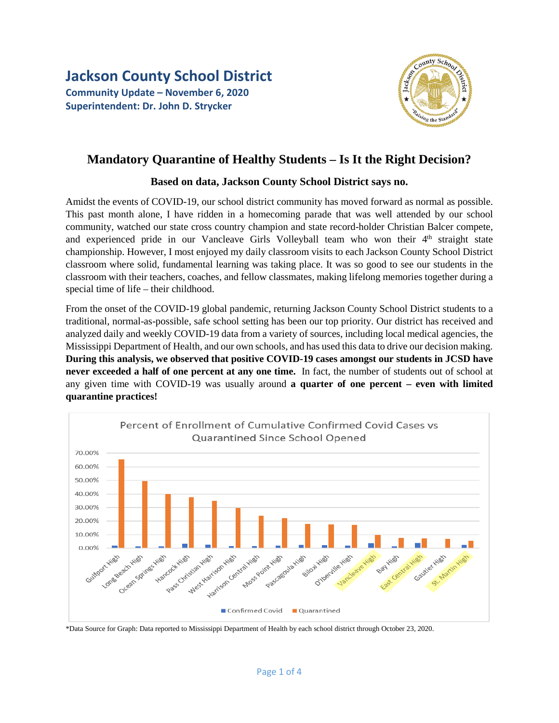**Jackson County School District Community Update – November 6, 2020 Superintendent: Dr. John D. Strycker** 



## **Mandatory Quarantine of Healthy Students – Is It the Right Decision?**

## **Based on data, Jackson County School District says no.**

Amidst the events of COVID-19, our school district community has moved forward as normal as possible. This past month alone, I have ridden in a homecoming parade that was well attended by our school community, watched our state cross country champion and state record-holder Christian Balcer compete, and experienced pride in our Vancleave Girls Volleyball team who won their 4<sup>th</sup> straight state championship. However, I most enjoyed my daily classroom visits to each Jackson County School District classroom where solid, fundamental learning was taking place. It was so good to see our students in the classroom with their teachers, coaches, and fellow classmates, making lifelong memories together during a special time of life – their childhood.

From the onset of the COVID-19 global pandemic, returning Jackson County School District students to a traditional, normal-as-possible, safe school setting has been our top priority. Our district has received and analyzed daily and weekly COVID-19 data from a variety of sources, including local medical agencies, the Mississippi Department of Health, and our own schools, and has used this data to drive our decision making. **During this analysis, we observed that positive COVID-19 cases amongst our students in JCSD have never exceeded a half of one percent at any one time.** In fact, the number of students out of school at any given time with COVID-19 was usually around **a quarter of one percent – even with limited quarantine practices!**



\*Data Source for Graph: Data reported to Mississippi Department of Health by each school district through October 23, 2020.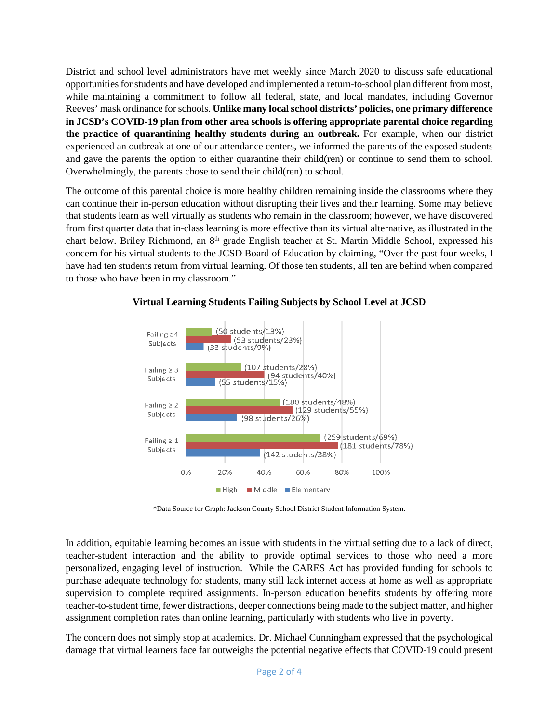District and school level administrators have met weekly since March 2020 to discuss safe educational opportunitiesfor students and have developed and implemented a return-to-school plan different from most, while maintaining a commitment to follow all federal, state, and local mandates, including Governor Reeves' mask ordinance for schools. **Unlike many local school districts' policies, one primary difference in JCSD's COVID-19 plan from other area schools is offering appropriate parental choice regarding the practice of quarantining healthy students during an outbreak.** For example, when our district experienced an outbreak at one of our attendance centers, we informed the parents of the exposed students and gave the parents the option to either quarantine their child(ren) or continue to send them to school. Overwhelmingly, the parents chose to send their child(ren) to school.

The outcome of this parental choice is more healthy children remaining inside the classrooms where they can continue their in-person education without disrupting their lives and their learning. Some may believe that students learn as well virtually as students who remain in the classroom; however, we have discovered from first quarter data that in-class learning is more effective than its virtual alternative, as illustrated in the chart below. Briley Richmond, an 8<sup>th</sup> grade English teacher at St. Martin Middle School, expressed his concern for his virtual students to the JCSD Board of Education by claiming, "Over the past four weeks, I have had ten students return from virtual learning. Of those ten students, all ten are behind when compared to those who have been in my classroom."



## **Virtual Learning Students Failing Subjects by School Level at JCSD**

\*Data Source for Graph: Jackson County School District Student Information System.

In addition, equitable learning becomes an issue with students in the virtual setting due to a lack of direct, teacher-student interaction and the ability to provide optimal services to those who need a more personalized, engaging level of instruction. While the CARES Act has provided funding for schools to purchase adequate technology for students, many still lack internet access at home as well as appropriate supervision to complete required assignments. In-person education benefits students by offering more teacher-to-student time, fewer distractions, deeper connections being made to the subject matter, and higher assignment completion rates than online learning, particularly with students who live in poverty.

The concern does not simply stop at academics. Dr. Michael Cunningham expressed that the psychological damage that virtual learners face far outweighs the potential negative effects that COVID-19 could present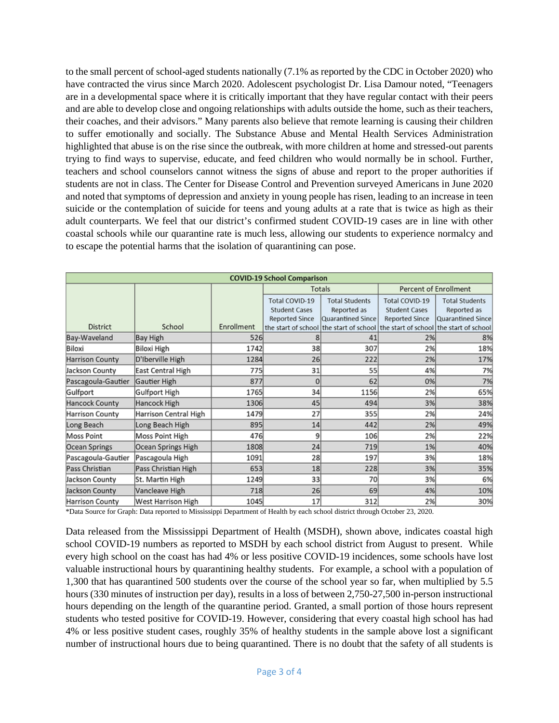to the small percent of school-aged students nationally (7.1% as reported by the CDC in October 2020) who have contracted the virus since March 2020. Adolescent psychologist Dr. Lisa Damour noted, "Teenagers are in a developmental space where it is critically important that they have regular contact with their peers and are able to develop close and ongoing relationships with adults outside the home, such as their teachers, their coaches, and their advisors." Many parents also believe that remote learning is causing their children to suffer emotionally and socially. The Substance Abuse and Mental Health Services Administration highlighted that abuse is on the rise since the outbreak, with more children at home and stressed-out parents trying to find ways to supervise, educate, and feed children who would normally be in school. Further, teachers and school counselors cannot witness the signs of abuse and report to the proper authorities if students are not in class. The Center for Disease Control and Prevention surveyed Americans in June 2020 and noted that symptoms of depression and anxiety in young people has risen, leading to an increase in teen suicide or the contemplation of suicide for teens and young adults at a rate that is twice as high as their adult counterparts. We feel that our district's confirmed student COVID-19 cases are in line with other coastal schools while our quarantine rate is much less, allowing our students to experience normalcy and to escape the potential harms that the isolation of quarantining can pose.

| <b>COVID-19 School Comparison</b> |                       |            |                       |                                                                                 |                              |                       |
|-----------------------------------|-----------------------|------------|-----------------------|---------------------------------------------------------------------------------|------------------------------|-----------------------|
|                                   |                       |            | Totals                |                                                                                 | <b>Percent of Enrollment</b> |                       |
|                                   |                       |            | Total COVID-19        | <b>Total Students</b>                                                           | Total COVID-19               | <b>Total Students</b> |
|                                   |                       |            | <b>Student Cases</b>  | Reported as                                                                     | <b>Student Cases</b>         | Reported as           |
|                                   |                       |            | <b>Reported Since</b> | Quarantined Since                                                               | <b>Reported Since</b>        | Quarantined Since     |
| <b>District</b>                   | School                | Enrollment |                       | the start of school the start of school the start of school the start of school |                              |                       |
| Bay-Waveland                      | Bay High              | 526        |                       | 41                                                                              | 2%                           | 8%                    |
| Biloxi                            | Biloxi High           | 1742       | 38                    | 307                                                                             | 2%                           | 18%                   |
| Harrison County                   | D'Iberville High      | 1284       | 26                    | 222                                                                             | 2%                           | 17%                   |
| Jackson County                    | East Central High     | 775        | 31                    | 55                                                                              | 4%                           | 7%                    |
| Pascagoula-Gautier                | Gautier High          | 877        | 0                     | 62                                                                              | 0%                           | 7%                    |
| Gulfport                          | Gulfport High         | 1765       | 34                    | 1156                                                                            | 2%                           | 65%                   |
| <b>Hancock County</b>             | Hancock High          | 1306       | 45                    | 494                                                                             | 3%                           | 38%                   |
| Harrison County                   | Harrison Central High | 1479       | 27                    | 355                                                                             | 2%                           | 24%                   |
| Long Beach                        | Long Beach High       | 895        | 14                    | 442                                                                             | 2%                           | 49%                   |
| Moss Point                        | Moss Point High       | 476        | 9                     | 106                                                                             | 2%                           | 22%                   |
| Ocean Springs                     | Ocean Springs High    | 1808       | 24                    | 719                                                                             | 1%                           | 40%                   |
| Pascagoula-Gautier                | Pascagoula High       | 1091       | 28 <sup>l</sup>       | 197                                                                             | 3%                           | 18%                   |
| Pass Christian                    | Pass Christian High   | 653        | 18                    | 228                                                                             | 3%                           | 35%                   |
| Jackson County                    | St. Martin High       | 1249       | 33                    | 70                                                                              | 3%                           | 6%                    |
| Jackson County                    | Vancleave High        | 718        | 26                    | 69                                                                              | 4%                           | 10%                   |
| Harrison County                   | West Harrison High    | 1045       | 17                    | 312                                                                             | 2%                           | 30%                   |

\*Data Source for Graph: Data reported to Mississippi Department of Health by each school district through October 23, 2020.

Data released from the Mississippi Department of Health (MSDH), shown above, indicates coastal high school COVID-19 numbers as reported to MSDH by each school district from August to present. While every high school on the coast has had 4% or less positive COVID-19 incidences, some schools have lost valuable instructional hours by quarantining healthy students. For example, a school with a population of 1,300 that has quarantined 500 students over the course of the school year so far, when multiplied by 5.5 hours (330 minutes of instruction per day), results in a loss of between 2,750-27,500 in-person instructional hours depending on the length of the quarantine period. Granted, a small portion of those hours represent students who tested positive for COVID-19. However, considering that every coastal high school has had 4% or less positive student cases, roughly 35% of healthy students in the sample above lost a significant number of instructional hours due to being quarantined. There is no doubt that the safety of all students is